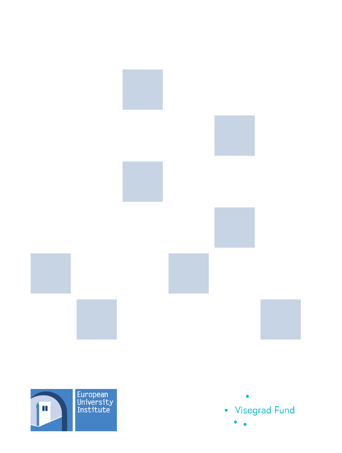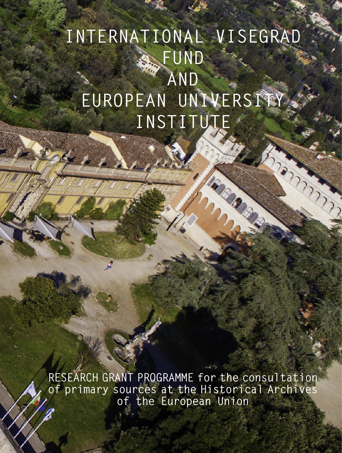# **INTERNATIONAL VISEGRAD FUND AND EUROPEAN UNIVERSITY INSTITUTE**

CONTRACTOR

**RESEARCH GRANT PROGRAMME for the consultation of primary sources at the Historical Archives of the European Union**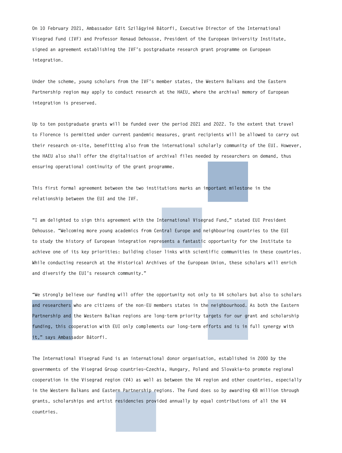**On 10 February 2021, Ambassador Edit Szilágyiné Bátorfi, Executive Director of the International Visegrad Fund (IVF) and Professor Renaud Dehousse, President of the European University Institute, signed an agreement establishing the IVF's postgraduate research grant programme on European integration.**

**Under the scheme, young scholars from the IVF's member states, the Western Balkans and the Eastern Partnership region may apply to conduct research at the HAEU, where the archival memory of European integration is preserved.**

**Up to ten postgraduate grants will be funded over the period 2021 and 2022. To the extent that travel to Florence is permitted under current pandemic measures, grant recipients will be allowed to carry out their research on-site, benefitting also from the international scholarly community of the EUI. However, the HAEU also shall offer the digitalisation of archival files needed by researchers on demand, thus ensuring operational continuity of the grant programme.**

**This first formal agreement between the two institutions marks an important milestone in the relationship between the EUI and the IVF.**

**"I am delighted to sign this agreement with the International Visegrad Fund," stated EUI President Dehousse. "Welcoming more young academics from Central Europe and neighbouring countries to the EUI to study the history of European integration represents a fantastic opportunity for the Institute to achieve one of its key priorities: building closer links with scientific communities in these countries. While conducting research at the Historical Archives of the European Union, these scholars will enrich and diversify the EUI's research community."**

**"We strongly believe our funding will offer the opportunity not only to V4 scholars but also to scholars and researchers who are citizens of the non-EU members states in the neighbourhood. As both the Eastern Partnership and the Western Balkan regions are long-term priority targets for our grant and scholarship funding, this cooperation with EUI only complements our long-term efforts and is in full synergy with it," says Ambassador Bátorfi.**

**The International Visegrad Fund is an international donor organisation, established in 2000 by the governments of the Visegrad Group countries—Czechia, Hungary, Poland and Slovakia—to promote regional cooperation in the Visegrad region (V4) as well as between the V4 region and other countries, especially in the Western Balkans and Eastern Partnership regions. The Fund does so by awarding €8 million through grants, scholarships and artist residencies provided annually by equal contributions of all the V4 countries.**